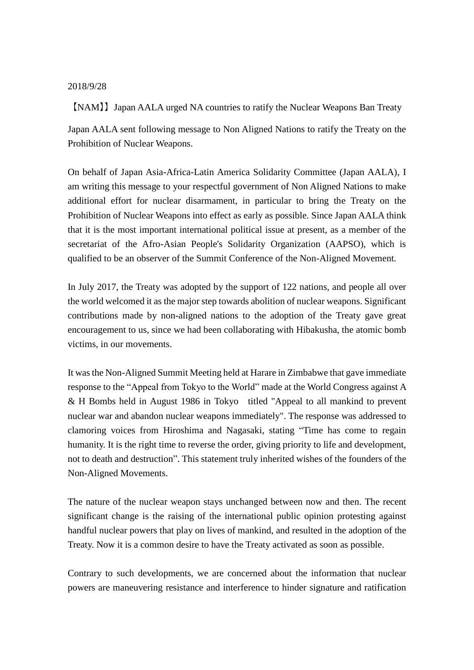## 2018/9/28

【NAM】】Japan AALA urged NA countries to ratify the Nuclear Weapons Ban Treaty

Japan AALA sent following message to Non Aligned Nations to ratify the Treaty on the Prohibition of Nuclear Weapons.

On behalf of Japan Asia-Africa-Latin America Solidarity Committee (Japan AALA), I am writing this message to your respectful government of Non Aligned Nations to make additional effort for nuclear disarmament, in particular to bring the Treaty on the Prohibition of Nuclear Weapons into effect as early as possible. Since Japan AALA think that it is the most important international political issue at present, as a member of the secretariat of the Afro-Asian People's Solidarity Organization (AAPSO), which is qualified to be an observer of the Summit Conference of the Non-Aligned Movement.

In July 2017, the Treaty was adopted by the support of 122 nations, and people all over the world welcomed it as the major step towards abolition of nuclear weapons. Significant contributions made by non-aligned nations to the adoption of the Treaty gave great encouragement to us, since we had been collaborating with Hibakusha, the atomic bomb victims, in our movements.

It was the Non-Aligned Summit Meeting held at Harare in Zimbabwe that gave immediate response to the "Appeal from Tokyo to the World" made at the World Congress against A & H Bombs held in August 1986 in Tokyo titled "Appeal to all mankind to prevent nuclear war and abandon nuclear weapons immediately". The response was addressed to clamoring voices from Hiroshima and Nagasaki, stating "Time has come to regain humanity. It is the right time to reverse the order, giving priority to life and development, not to death and destruction". This statement truly inherited wishes of the founders of the Non-Aligned Movements.

The nature of the nuclear weapon stays unchanged between now and then. The recent significant change is the raising of the international public opinion protesting against handful nuclear powers that play on lives of mankind, and resulted in the adoption of the Treaty. Now it is a common desire to have the Treaty activated as soon as possible.

Contrary to such developments, we are concerned about the information that nuclear powers are maneuvering resistance and interference to hinder signature and ratification